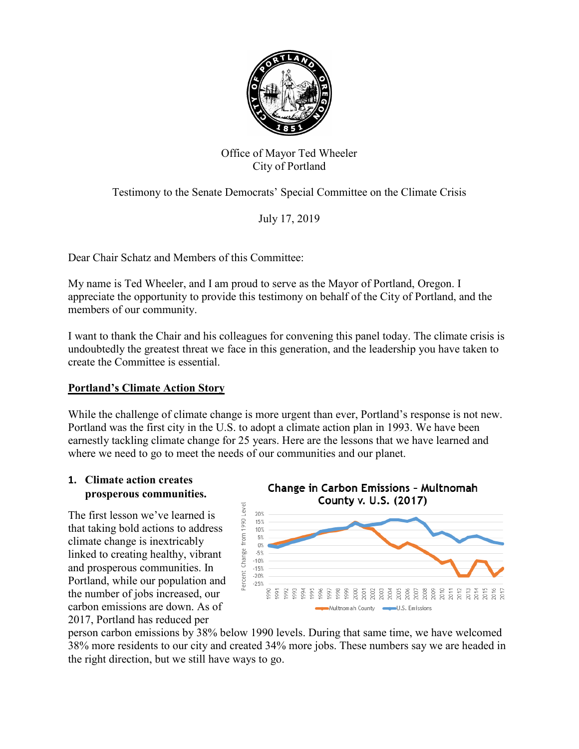

# Office of Mayor Ted Wheeler City of Portland

Testimony to the Senate Democrats' Special Committee on the Climate Crisis

July 17, 2019

Dear Chair Schatz and Members of this Committee:

My name is Ted Wheeler, and I am proud to serve as the Mayor of Portland, Oregon. I appreciate the opportunity to provide this testimony on behalf of the City of Portland, and the members of our community.

I want to thank the Chair and his colleagues for convening this panel today. The climate crisis is undoubtedly the greatest threat we face in this generation, and the leadership you have taken to create the Committee is essential.

# **Portland's Climate Action Story**

While the challenge of climate change is more urgent than ever, Portland's response is not new. Portland was the first city in the U.S. to adopt a climate action plan in 1993. We have been earnestly tackling climate change for 25 years. Here are the lessons that we have learned and where we need to go to meet the needs of our communities and our planet.

### **1. Climate action creates prosperous communities.**

The first lesson we've learned is that taking bold actions to address climate change is inextricably linked to creating healthy, vibrant and prosperous communities. In Portland, while our population and the number of jobs increased, our carbon emissions are down. As of 2017, Portland has reduced per



person carbon emissions by 38% below 1990 levels. During that same time, we have welcomed 38% more residents to our city and created 34% more jobs. These numbers say we are headed in the right direction, but we still have ways to go.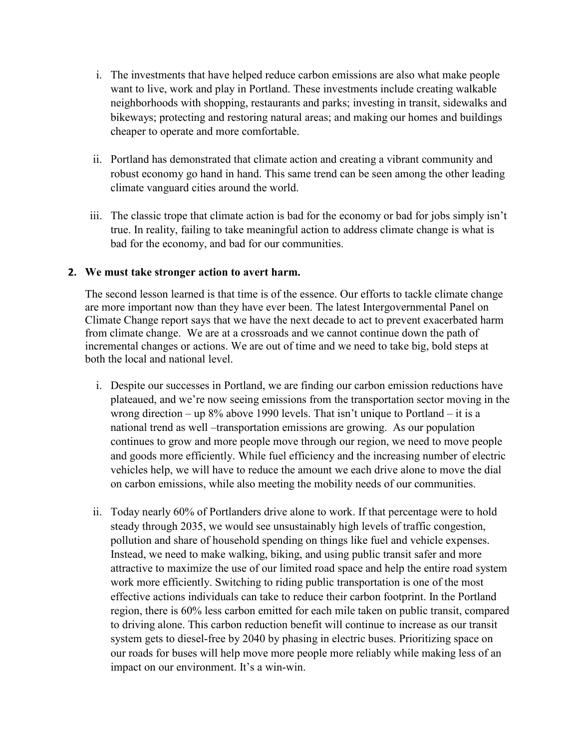- i. The investments that have helped reduce carbon emissions are also what make people want to live, work and play in Portland. These investments include creating walkable neighborhoods with shopping, restaurants and parks; investing in transit, sidewalks and bikeways; protecting and restoring natural areas; and making our homes and buildings cheaper to operate and more comfortable.
- ii. Portland has demonstrated that climate action and creating a vibrant community and robust economy go hand in hand. This same trend can be seen among the other leading climate vanguard cities around the world.
- iii. The classic trope that climate action is bad for the economy or bad for jobs simply isn't true. In reality, failing to take meaningful action to address climate change is what is bad for the economy, and bad for our communities.

### **2. We must take stronger action to avert harm.**

The second lesson learned is that time is of the essence. Our efforts to tackle climate change are more important now than they have ever been. The latest Intergovernmental Panel on Climate Change report says that we have the next decade to act to prevent exacerbated harm from climate change. We are at a crossroads and we cannot continue down the path of incremental changes or actions. We are out of time and we need to take big, bold steps at both the local and national level.

- i. Despite our successes in Portland, we are finding our carbon emission reductions have plateaued, and we're now seeing emissions from the transportation sector moving in the wrong direction – up 8% above 1990 levels. That isn't unique to Portland – it is a national trend as well –transportation emissions are growing. As our population continues to grow and more people move through our region, we need to move people and goods more efficiently. While fuel efficiency and the increasing number of electric vehicles help, we will have to reduce the amount we each drive alone to move the dial on carbon emissions, while also meeting the mobility needs of our communities.
- ii. Today nearly 60% of Portlanders drive alone to work. If that percentage were to hold steady through 2035, we would see unsustainably high levels of traffic congestion, pollution and share of household spending on things like fuel and vehicle expenses. Instead, we need to make walking, biking, and using public transit safer and more attractive to maximize the use of our limited road space and help the entire road system work more efficiently. Switching to riding public transportation is one of the most effective actions individuals can take to reduce their carbon footprint. In the Portland region, there is 60% less carbon emitted for each mile taken on public transit, compared to driving alone. This carbon reduction benefit will continue to increase as our transit system gets to diesel-free by 2040 by phasing in electric buses. Prioritizing space on our roads for buses will help move more people more reliably while making less of an impact on our environment. It's a win-win.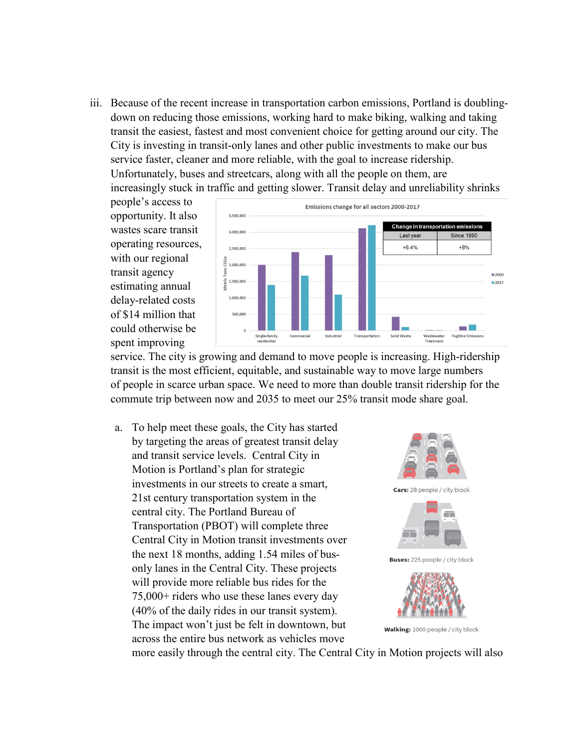iii. Because of the recent increase in transportation carbon emissions, Portland is doublingdown on reducing those emissions, working hard to make biking, walking and taking transit the easiest, fastest and most convenient choice for getting around our city. The City is investing in transit-only lanes and other public investments to make our bus service faster, cleaner and more reliable, with the goal to increase ridership. Unfortunately, buses and streetcars, along with all the people on them, are increasingly stuck in traffic and getting slower. Transit delay and unreliability shrinks

people's access to opportunity. It also wastes scare transit operating resources, with our regional transit agency estimating annual delay-related costs of \$14 million that could otherwise be spent improving



service. The city is growing and demand to move people is increasing. High-ridership transit is the most efficient, equitable, and sustainable way to move large numbers of people in scarce urban space. We need to more than double transit ridership for the commute trip between now and 2035 to meet our 25% transit mode share goal.

a. To help meet these goals, the City has started by targeting the areas of greatest transit delay and transit service levels. Central City in Motion is Portland's plan for strategic investments in our streets to create a smart, 21st century transportation system in the central city. The Portland Bureau of Transportation (PBOT) will complete three Central City in Motion transit investments over the next 18 months, adding 1.54 miles of busonly lanes in the Central City. These projects will provide more reliable bus rides for the 75,000+ riders who use these lanes every day (40% of the daily rides in our transit system). The impact won't just be felt in downtown, but across the entire bus network as vehicles move



more easily through the central city. The Central City in Motion projects will also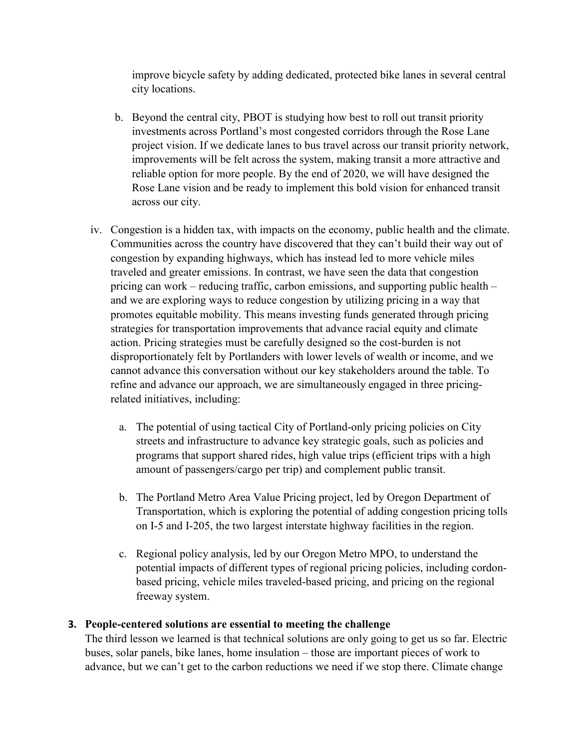improve bicycle safety by adding dedicated, protected bike lanes in several central city locations.

- b. Beyond the central city, PBOT is studying how best to roll out transit priority investments across Portland's most congested corridors through the Rose Lane project vision. If we dedicate lanes to bus travel across our transit priority network, improvements will be felt across the system, making transit a more attractive and reliable option for more people. By the end of 2020, we will have designed the Rose Lane vision and be ready to implement this bold vision for enhanced transit across our city.
- iv. Congestion is a hidden tax, with impacts on the economy, public health and the climate. Communities across the country have discovered that they can't build their way out of congestion by expanding highways, which has instead led to more vehicle miles traveled and greater emissions. In contrast, we have seen the data that congestion pricing can work – reducing traffic, carbon emissions, and supporting public health – and we are exploring ways to reduce congestion by utilizing pricing in a way that promotes equitable mobility. This means investing funds generated through pricing strategies for transportation improvements that advance racial equity and climate action. Pricing strategies must be carefully designed so the cost-burden is not disproportionately felt by Portlanders with lower levels of wealth or income, and we cannot advance this conversation without our key stakeholders around the table. To refine and advance our approach, we are simultaneously engaged in three pricingrelated initiatives, including:
	- a. The potential of using tactical City of Portland-only pricing policies on City streets and infrastructure to advance key strategic goals, such as policies and programs that support shared rides, high value trips (efficient trips with a high amount of passengers/cargo per trip) and complement public transit.
	- b. The Portland Metro Area Value Pricing project, led by Oregon Department of Transportation, which is exploring the potential of adding congestion pricing tolls on I-5 and I-205, the two largest interstate highway facilities in the region.
	- c. Regional policy analysis, led by our Oregon Metro MPO, to understand the potential impacts of different types of regional pricing policies, including cordonbased pricing, vehicle miles traveled-based pricing, and pricing on the regional freeway system.

## **3. People-centered solutions are essential to meeting the challenge**

The third lesson we learned is that technical solutions are only going to get us so far. Electric buses, solar panels, bike lanes, home insulation – those are important pieces of work to advance, but we can't get to the carbon reductions we need if we stop there. Climate change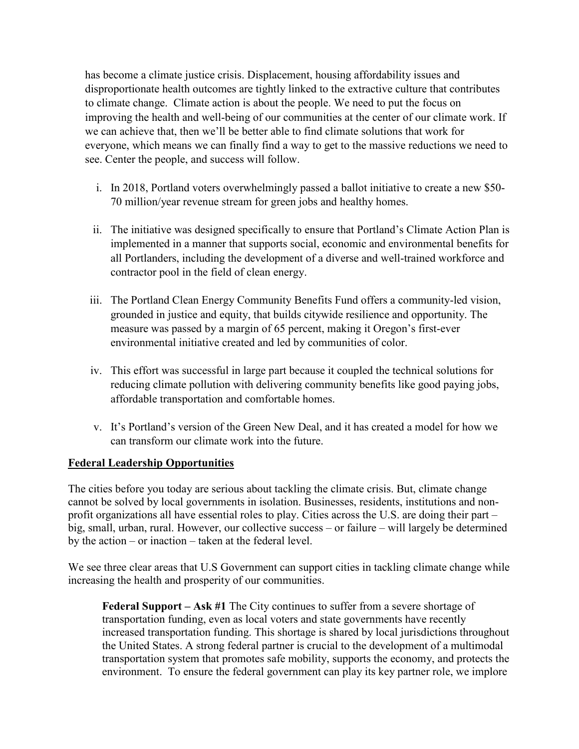has become a climate justice crisis. Displacement, housing affordability issues and disproportionate health outcomes are tightly linked to the extractive culture that contributes to climate change. Climate action is about the people. We need to put the focus on improving the health and well-being of our communities at the center of our climate work. If we can achieve that, then we'll be better able to find climate solutions that work for everyone, which means we can finally find a way to get to the massive reductions we need to see. Center the people, and success will follow.

- i. In 2018, Portland voters overwhelmingly passed a ballot initiative to create a new \$50- 70 million/year revenue stream for green jobs and healthy homes.
- ii. The initiative was designed specifically to ensure that Portland's Climate Action Plan is implemented in a manner that supports social, economic and environmental benefits for all Portlanders, including the development of a diverse and well-trained workforce and contractor pool in the field of clean energy.
- iii. The Portland Clean Energy Community Benefits Fund offers a community-led vision, grounded in justice and equity, that builds citywide resilience and opportunity. The measure was passed by a margin of 65 percent, making it Oregon's first-ever environmental initiative created and led by communities of color.
- iv. This effort was successful in large part because it coupled the technical solutions for reducing climate pollution with delivering community benefits like good paying jobs, affordable transportation and comfortable homes.
- v. It's Portland's version of the Green New Deal, and it has created a model for how we can transform our climate work into the future.

# **Federal Leadership Opportunities**

The cities before you today are serious about tackling the climate crisis. But, climate change cannot be solved by local governments in isolation. Businesses, residents, institutions and nonprofit organizations all have essential roles to play. Cities across the U.S. are doing their part – big, small, urban, rural. However, our collective success – or failure – will largely be determined by the action – or inaction – taken at the federal level.

We see three clear areas that U.S Government can support cities in tackling climate change while increasing the health and prosperity of our communities.

**Federal Support – Ask #1** The City continues to suffer from a severe shortage of transportation funding, even as local voters and state governments have recently increased transportation funding. This shortage is shared by local jurisdictions throughout the United States. A strong federal partner is crucial to the development of a multimodal transportation system that promotes safe mobility, supports the economy, and protects the environment. To ensure the federal government can play its key partner role, we implore